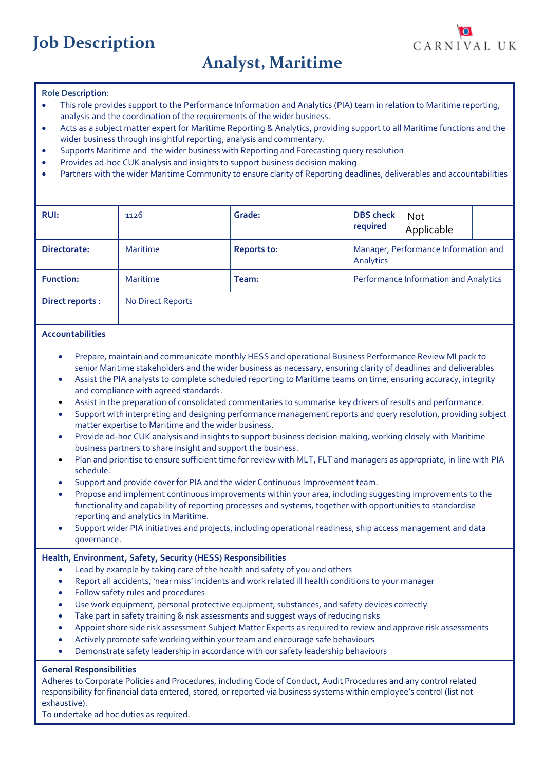# **Job Description**

# **Analyst, Maritime**

CARNIVAL UK

#### **Role Description**:

- This role provides support to the Performance Information and Analytics (PIA) team in relation to Maritime reporting, analysis and the coordination of the requirements of the wider business.
- Acts as a subject matter expert for Maritime Reporting & Analytics, providing support to all Maritime functions and the wider business through insightful reporting, analysis and commentary.
- Supports Maritime and the wider business with Reporting and Forecasting query resolution
- Provides ad-hoc CUK analysis and insights to support business decision making
- Partners with the wider Maritime Community to ensure clarity of Reporting deadlines, deliverables and accountabilities

| <b>RUI:</b>            | 1126              | Grade:             | <b>DBS</b> check<br>required                      | <b>Not</b><br>Applicable |  |
|------------------------|-------------------|--------------------|---------------------------------------------------|--------------------------|--|
| Directorate:           | Maritime          | <b>Reports to:</b> | Manager, Performance Information and<br>Analytics |                          |  |
| <b>Function:</b>       | Maritime          | Team:              | Performance Information and Analytics             |                          |  |
| <b>Direct reports:</b> | No Direct Reports |                    |                                                   |                          |  |

#### **Accountabilities**

- Prepare, maintain and communicate monthly HESS and operational Business Performance Review MI pack to senior Maritime stakeholders and the wider business as necessary, ensuring clarity of deadlines and deliverables
- Assist the PIA analysts to complete scheduled reporting to Maritime teams on time, ensuring accuracy, integrity and compliance with agreed standards.
- Assist in the preparation of consolidated commentaries to summarise key drivers of results and performance.
- Support with interpreting and designing performance management reports and query resolution, providing subject matter expertise to Maritime and the wider business.
- Provide ad-hoc CUK analysis and insights to support business decision making, working closely with Maritime business partners to share insight and support the business.
- Plan and prioritise to ensure sufficient time for review with MLT, FLT and managers as appropriate, in line with PIA schedule.
- Support and provide cover for PIA and the wider Continuous Improvement team.
- Propose and implement continuous improvements within your area, including suggesting improvements to the functionality and capability of reporting processes and systems, together with opportunities to standardise reporting and analytics in Maritime.
- Support wider PIA initiatives and projects, including operational readiness, ship access management and data governance.

#### **Health, Environment, Safety, Security (HESS) Responsibilities**

- Lead by example by taking care of the health and safety of you and others
- Report all accidents, 'near miss' incidents and work related ill health conditions to your manager
- Follow safety rules and procedures
- Use work equipment, personal protective equipment, substances, and safety devices correctly
- Take part in safety training & risk assessments and suggest ways of reducing risks
- Appoint shore side risk assessment Subject Matter Experts as required to review and approve risk assessments
- Actively promote safe working within your team and encourage safe behaviours
- Demonstrate safety leadership in accordance with our safety leadership behaviours

#### **General Responsibilities**

Adheres to Corporate Policies and Procedures, including Code of Conduct, Audit Procedures and any control related responsibility for financial data entered, stored, or reported via business systems within employee's control (list not exhaustive).

To undertake ad hoc duties as required.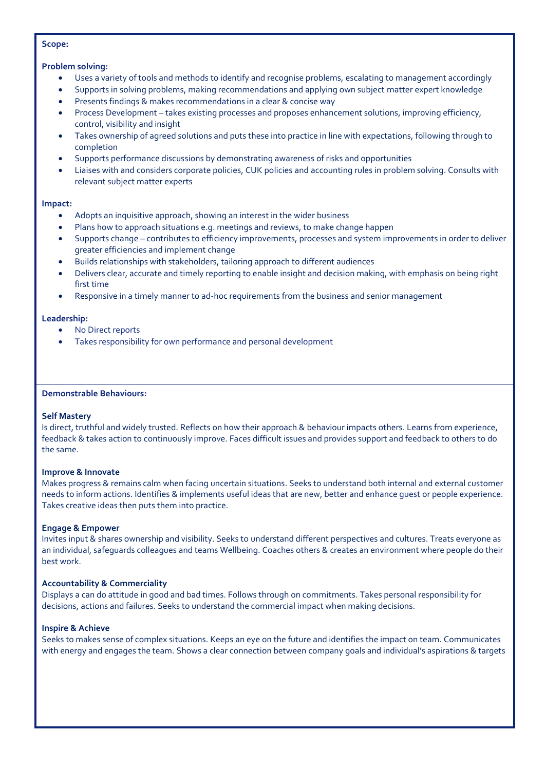#### **Scope:**

### **Problem solving:**

- Uses a variety of tools and methods to identify and recognise problems, escalating to management accordingly
- Supports in solving problems, making recommendations and applying own subject matter expert knowledge
- Presents findings & makes recommendations in a clear & concise way
- Process Development takes existing processes and proposes enhancement solutions, improving efficiency, control, visibility and insight
- Takes ownership of agreed solutions and puts these into practice in line with expectations, following through to completion
- Supports performance discussions by demonstrating awareness of risks and opportunities
- Liaises with and considers corporate policies, CUK policies and accounting rules in problem solving. Consults with relevant subject matter experts

#### **Impact:**

- Adopts an inquisitive approach, showing an interest in the wider business
- Plans how to approach situations e.g. meetings and reviews, to make change happen
- Supports change contributes to efficiency improvements, processes and system improvements in order to deliver greater efficiencies and implement change
- Builds relationships with stakeholders, tailoring approach to different audiences
- Delivers clear, accurate and timely reporting to enable insight and decision making, with emphasis on being right first time
- Responsive in a timely manner to ad-hoc requirements from the business and senior management

### **Leadership:**

- No Direct reports
- Takes responsibility for own performance and personal development

#### **Demonstrable Behaviours:**

## **Self Mastery**

Is direct, truthful and widely trusted. Reflects on how their approach & behaviour impacts others. Learns from experience, feedback & takes action to continuously improve. Faces difficult issues and provides support and feedback to others to do the same.

## **Improve & Innovate**

Makes progress & remains calm when facing uncertain situations. Seeks to understand both internal and external customer needs to inform actions. Identifies & implements useful ideas that are new, better and enhance guest or people experience. Takes creative ideas then puts them into practice.

## **Engage & Empower**

Invites input & shares ownership and visibility. Seeks to understand different perspectives and cultures. Treats everyone as an individual, safeguards colleagues and teams Wellbeing. Coaches others & creates an environment where people do their best work.

## **Accountability & Commerciality**

Displays a can do attitude in good and bad times. Follows through on commitments. Takes personal responsibility for decisions, actions and failures. Seeks to understand the commercial impact when making decisions.

#### **Inspire & Achieve**

Seeks to makes sense of complex situations. Keeps an eye on the future and identifies the impact on team. Communicates with energy and engages the team. Shows a clear connection between company goals and individual's aspirations & targets